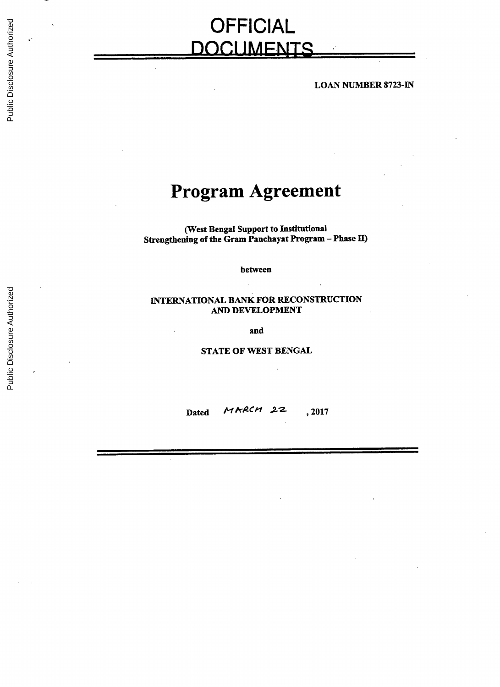# **OFFICIAL DOCI** IMFUTS

**LOAN NUMBER** 8723-IN

# **Program Agreement**

(West Bengal Support to Institutional Strengthening of the Gram Panchayat Program **-** Phase II)

between

# **INTERNATIONAL** BANK FOR **RECONSTRUCTION AND DEVELOPMENT**

and

**STATE** OF WEST **BENGAL**

Dated **HARCH** 22, 2017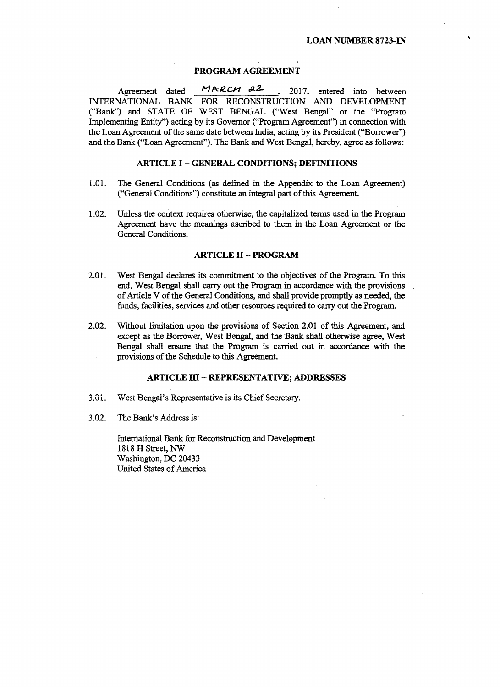## **PROGRAM AGREEMENT**

Agreement dated **MARCH** 22 , 2017, entered into between **INTERNATIONAL** BANK FOR **RECONSTRUCTION AND DEVELOPMENT** ("Bank") and **STATE** OF WEST **BENGAL** ("West Bengal" or the "Program Implementing Entity") acting **by** its Governor ("Program Agreement") in connection with the Loan Agreement of the same date between India, acting **by** its President ("Borrower") and the Bank ("Loan Agreement"). The Bank and West Bengal, hereby, agree as follows:

## **ARTICLE I - GENERAL CONDITIONS; DEFINITIONS**

- **1.01.** The General Conditions (as defined in the Appendix to the Loan Agreement) ("General Conditions") constitute an integral part of this Agreement.
- 1.02. Unless the context requires otherwise, the capitalized terms used in the Program Agreement have the meanings ascribed to them in the Loan Agreement or the General Conditions.

### **ARTICLE II - PROGRAM**

- 2.01. West Bengal declares its commitment to the objectives of the Program. To this end, West Bengal shall carry out the Program in accordance with the provisions of Article V of the General Conditions, and shall provide promptly as needed, the funds, facilities, services and other resources required to carry out the Program.
- 2.02. Without limitation upon the provisions of Section 2.01 of this Agreement, and except as the Borrower, West Bengal, and the Bank shall otherwise agree, West Bengal shall ensure that the Program is carried out in accordance with the provisions of the Schedule to this Agreement.

## **ARTICLE III - REPRESENTATIVE; ADDRESSES**

- *3.01.* West Bengal's Representative is its Chief Secretary.
- **3.02.** The Bank's Address is:

International Bank for Reconstruction and Development **1818** H Street, NW Washington, **DC** 20433 United States of America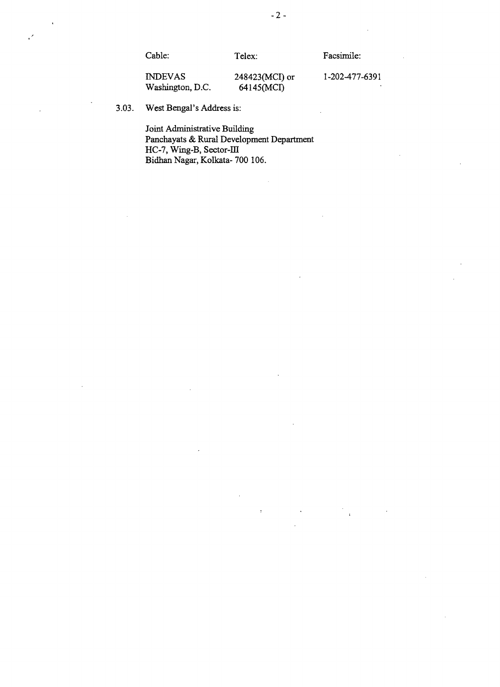$\cdot$ 

-2-

**INDEVAS** 248423(MCI) or **1-202-477-6391** Washington, D.C.

**3.03.** West Bengal's Address is:

Joint Administrative Building Panchayats **&** Rural Development Department **HC-7,** Wing-B, Sector-II Bidhan Nagar, Kolkata- **700 106.**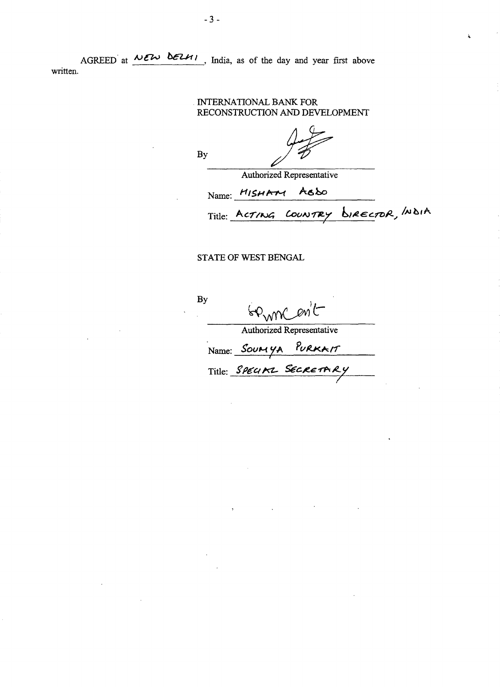AGREED at  $\overline{MEN}$  **belles**, India, as of the day and year first above written.

# INTERNATIONAL BANK FOR **RECONSTRUCTION AND DEVELOPMENT**

**By**

Authorized Representative

Name: *HfSHA-r-t* **A6Lo**

Title: ACTING COUNTRY BIRECTOR, INDIA

# **STATE** OF WEST **BENGAL**

**By**

Germanit

Authorized Representative

Name: SOUMYA PURKAIT

Title: **SPECIAL SECRETARY**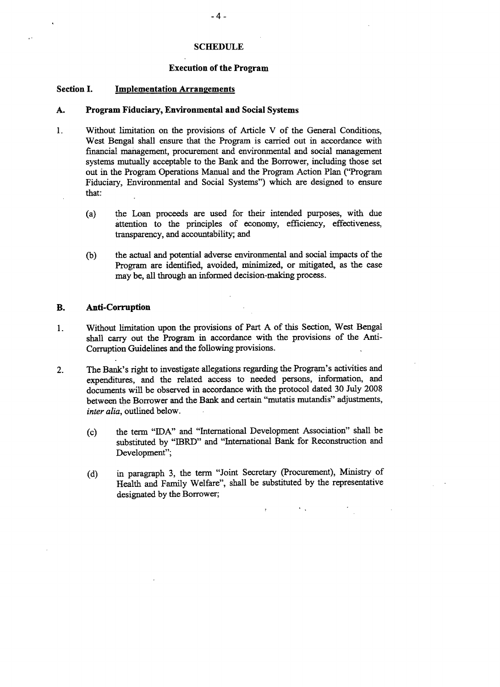## **SCHEDULE**

#### **Execution of the Program**

## **Section I. Implementation Arrangements**

 $\ddot{\phantom{0}}$ 

## **A. Program Fiduciary, Environmental and Social Systems**

- 1. Without limitation on the provisions of Article V of the General Conditions, West Bengal shall ensure that the Program is carried out in accordance with financial management, procurement and environmental and social management systems mutually acceptable to the Bank and the Borrower, including those set out in the Program Operations Manual and the Program Action Plan ("Program Fiduciary, Environmental and Social Systems") which are designed to ensure that:
	- (a) the Loan proceeds are used for their intended purposes, with due attention to the principles of economy, efficiency, effectiveness, transparency, and accountability; and
	- **(b)** the actual and potential adverse environmental and social impacts of the Program are identified, avoided, minimized, or mitigated, as the case may be, all through an informed decision-making process.

# B. **Anti-Corruption**

- 1 **.** Without limitation upon the provisions of Part **A** of this Section, West Bengal shall carry out the Program in accordance with the provisions of the Anti-Corruption Guidelines and the following provisions.
- 2. The Bank's right to investigate allegations regarding the Program's activities and expenditures, and the related access to needed persons, information, and documents will be observed in accordance with the protocol dated **30** July **2008** between the Borrower and the Bank and certain "mutatis mutandis" adjustments, *inter alia,* outlined below.
	- (c) the term **"IDA"** and "International Development Association" shall be substituted **by** "IBRD" and "International Bank for Reconstruction and Development";
	- **(d)** in paragraph **3,** the term "Joint Secretary (Procurement), Ministry of Health and Family Welfare", shall be substituted **by** the representative designated **by** the Borrower;

 $\mathbf{v}_{\rm max}$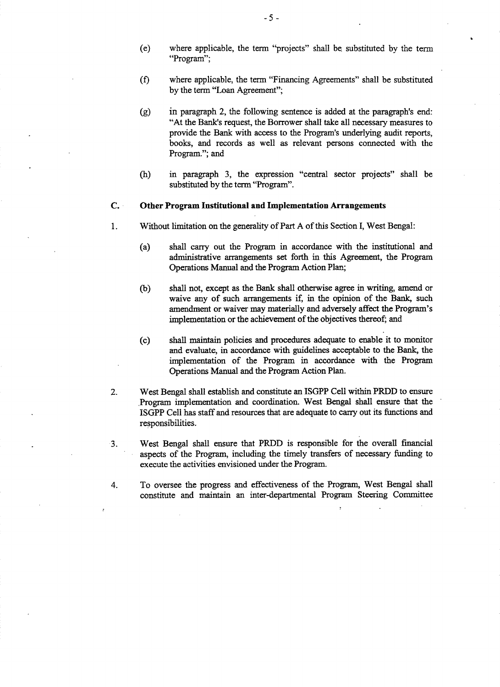- (e) where applicable, the term "projects" shall **be** substituted **by** the term "Program";
- **(f)** where applicable, the term "Financing Agreements" shall be substituted **by** the term "Loan Agreement";
- **(g)** in paragraph 2, the following sentence is added at the paragraph's end: "At the Bank's request, the Borrower shall take all necessary measures to provide the Bank with access to the Program's underlying audit reports, books, and records as well as relevant persons connected with the Program."; and
- (h) in paragraph **3,** the expression "central sector projects" shall be substituted **by** the term "Program".

# **C.** Other Program Institutional and Implementation Arrangements

- **1 .** Without limitation on the generality of Part **A** of this Section I, West Bengal:
	- (a) shall carry out the Program in accordance with the institutional and administrative arrangements set forth in this Agreement, the Program Operations Manual and the Program Action Plan;
	- **(b)** shall not, except as the Bank shall otherwise agree in writing, amend or waive any of such arrangements if, in the opinion of the Bank, such amendment or waiver may materially and adversely affect the Program's implementation or the achievement of the objectives thereof; and
	- (c) shall maintain policies and procedures adequate to enable it to monitor and evaluate, in accordance with guidelines acceptable to the Bank, the implementation of the Program in accordance with the Program Operations Manual and the Program Action Plan.
- 2. West Bengal shall establish and constitute an **ISGPP** Cell within PRDD to ensure .Program implementation and coordination. West Bengal shall ensure that the **ISGPP** Cell has staff and resources that are adequate to carry out its functions and responsibilities.
- **3.** West Bengal shall ensure that PRDD is responsible for the overall financial aspects of the Program, including the timely transfers of necessary funding to execute the activities envisioned under the Program.
- 4. To oversee the progress and effectiveness of the Program, West Bengal shall constitute and maintain an inter-departmental Program Steering Committee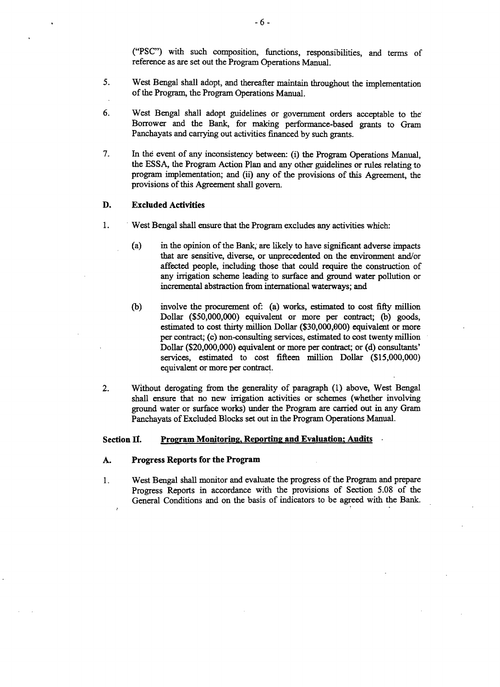**("PSC")** with such composition, functions, responsibilities, and terms of reference as are set out the Program Operations Manual.

- **5.** West Bengal shall adopt, and thereafter maintain throughout the implementation of the Program, the Program Operations Manual.
- **6.** West Bengal shall adopt guidelines or government orders acceptable to the Borrower and the Bank, for making performance-based grants to Gram Panchayats and carrying out activities financed **by** such grants.
- **7.** In the event of any inconsistency between: (i) the Program Operations Manual, the **ESSA,** the Program Action Plan and any other guidelines or rules relating to program implementation; and (ii) any of the provisions of this Agreement, the provisions of this Agreement shall govern.

# **D. Excluded Activities**

- 1. West Bengal shall ensure that the Program excludes any activities which:
	- (a) in the opinion of the Bank; are likely to have significant adverse impacts that are sensitive, diverse, or unprecedented on the environment and/or affected people, including those that could require the construction of any irrigation scheme leading to surface and ground water pollution or incremental abstraction from international waterways; and
	- **(b)** involve the procurement of: (a) works, estimated to cost **fifty** million Dollar **(\$50,000,000)** equivalent or more per contract; **(b)** goods, estimated to cost thirty million Dollar **(\$30,000,000)** equivalent or more per contract; (c) non-consulting services, estimated to cost twenty million Dollar (\$20,000,000) equivalent or more per contract; or **(d)** consultants' services, estimated to cost fifteen million Dollar **(\$15,000,000)** equivalent or more per contract.
- 2. Without derogating from the generality of paragraph **(1)** above, West Bengal shall ensure that no new irrigation activities or schemes (whether involving ground water or surface works) under the Program are carried out in any Gram Panchayats of Excluded Blocks set out in the Program Operations Manual.

# **Section II. Program Monitoring, Reporting and Evaluation, Audits**

### **A. Progress Reports for the Program**

1. West Bengal shall monitor and evaluate the progress of the **Program and** prepare Progress Reports in accordance with the provisions of Section **5.08** of the General Conditions and on the basis of indicators to **be** agreed with the Bank.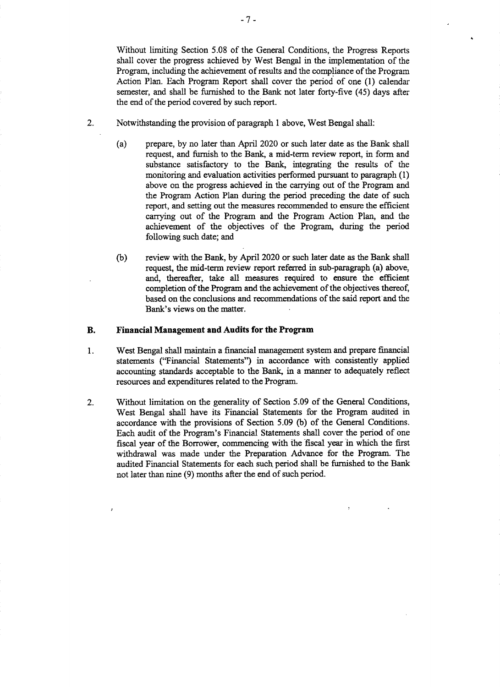Without limiting Section *5.08* of the General Conditions, the Progress Reports shall cover the progress achieved **by** West Bengal in the implementation of the Program, including the achievement of results and the compliance of the Program Action Plan. Each Program Report shall cover the period of one **(1)** calendar semester, and shall be furnished to the **Bank** not later forty-five *(45)* days after the end of the period covered **by** such report.

- 2. Notwithstanding the provision of paragraph **1** above, West Bengal shall:
	- (a) prepare, **by** no later than April 2020 or such later date as the Bank shall request, and furnish to the Bank, a mid-term review report, in form and substance satisfactory to the Bank, integrating the results of the monitoring and evaluation activities performed pursuant to paragraph **(1)** above on the progress achieved in the carrying out of the Program and the Program Action Plan during the period preceding the date of such report, and setting out the measures recommended to ensure the efficient carrying out of the Program and the Program Action Plan, and the achievement of the objectives of the Program, during the period following such date; and
	- **(b)** review with the Bank, **by** April 2020 or such later date as the Bank shall request, the mid-term review report referred in sub-paragraph (a) above, and, thereafter, take all measures required to ensure the efficient completion of the Program and the achievement of the objectives thereof, based on the conclusions and recommendations of the said report and the Bank's views on the matter.

## **B. Financial Management and Audits for the Program**

- **1. West Bengal shall maintain a financial management system and prepare financial** statements ("Financial Statements") **in accordance with consistently applied** accounting standards acceptable to the Bank, in a manner to adequately reflect resources and expenditures related to the Program.
- 2. Without limitation on the generality of Section *5.09* of the General Conditions, West Bengal shall have its Financial Statements for the Program audited in accordance with the provisions of Section *5.09* **(b)** of the General Conditions. Each audit of the Program's Financial Statements shall cover the period of one fiscal year of the Borrower, commencing with the fiscal year in which the first withdrawal was made under the Preparation Advance for the Program. The audited Financial Statements for each such period shall be furnished to the Bank not later than nine **(9)** months after the end of such period.